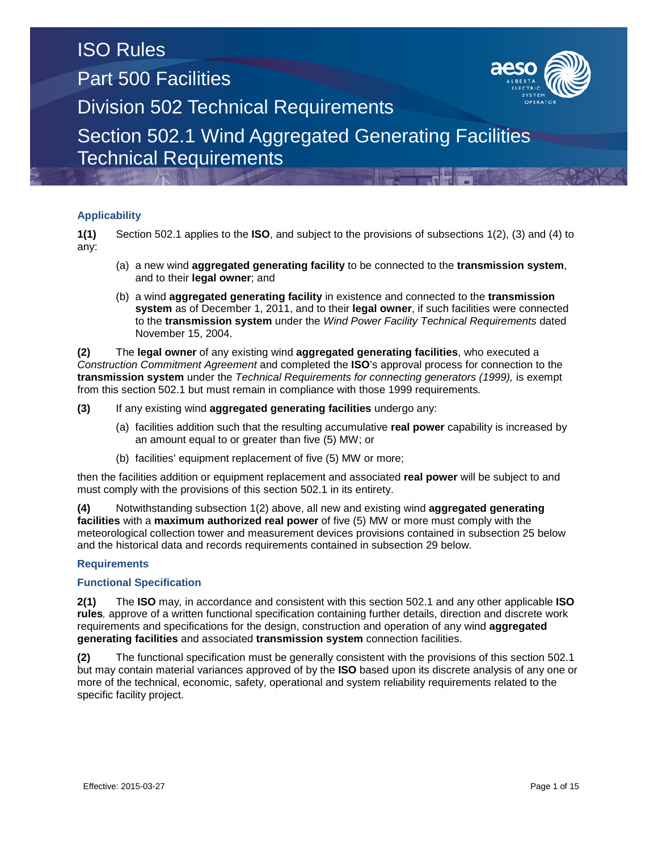# Part 500 Facilities

ISO Rules



Division 502 Technical Requirements

Section 502.1 Wind Aggregated Generating Facilities Technical Requirements

### **Applicability**

**1(1)** Section 502.1 applies to the **ISO**, and subject to the provisions of subsections 1(2), (3) and (4) to any:

- (a) a new wind **aggregated generating facility** to be connected to the **transmission system**, and to their **legal owner**; and
- (b) a wind **aggregated generating facility** in existence and connected to the **transmission system** as of December 1, 2011, and to their **legal owner**, if such facilities were connected to the **transmission system** under the *Wind Power Facility Technical Requirements* dated November 15, 2004.

**(2)** The **legal owner** of any existing wind **aggregated generating facilities**, who executed a *Construction Commitment Agreement* and completed the **ISO**'s approval process for connection to the **transmission system** under the *Technical Requirements for connecting generators (1999),* is exempt from this section 502.1 but must remain in compliance with those 1999 requirements*.*

**(3)** If any existing wind **aggregated generating facilities** undergo any:

- (a) facilities addition such that the resulting accumulative **real power** capability is increased by an amount equal to or greater than five (5) MW; or
- (b) facilities' equipment replacement of five (5) MW or more;

then the facilities addition or equipment replacement and associated **real power** will be subject to and must comply with the provisions of this section 502.1 in its entirety.

**(4)** Notwithstanding subsection 1(2) above, all new and existing wind **aggregated generating facilities** with a **maximum authorized real power** of five (5) MW or more must comply with the meteorological collection tower and measurement devices provisions contained in subsection 25 below and the historical data and records requirements contained in subsection 29 below.

### **Requirements**

#### **Functional Specification**

**2(1)** The **ISO** may*,* in accordance and consistent with this section 502.1 and any other applicable **ISO rules***,* approve of a written functional specification containing further details, direction and discrete work requirements and specifications for the design, construction and operation of any wind **aggregated generating facilities** and associated **transmission system** connection facilities.

**(2)** The functional specification must be generally consistent with the provisions of this section 502.1 but may contain material variances approved of by the **ISO** based upon its discrete analysis of any one or more of the technical, economic, safety, operational and system reliability requirements related to the specific facility project.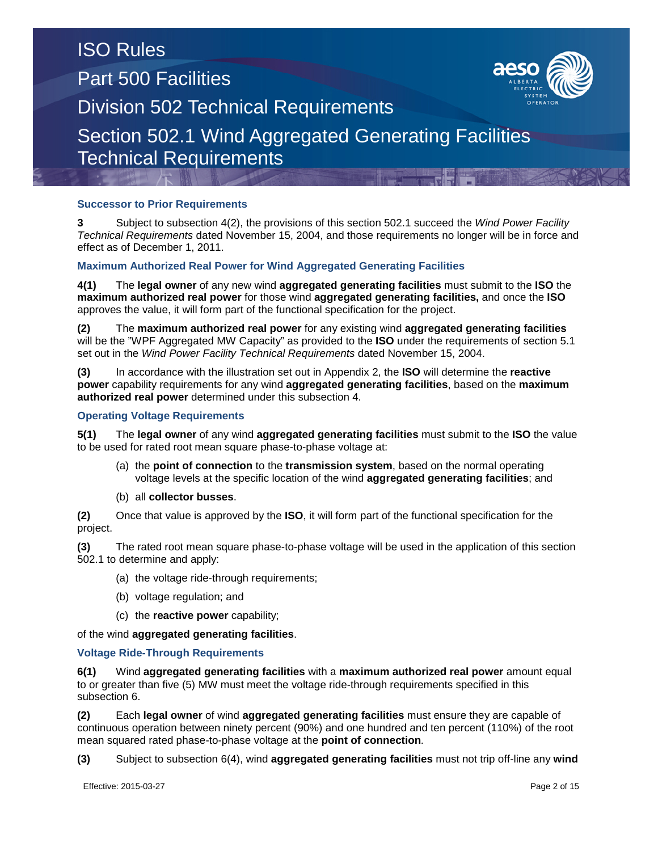### **Successor to Prior Requirements**

**3** Subject to subsection 4(2), the provisions of this section 502.1 succeed the *Wind Power Facility Technical Requirements* dated November 15, 2004, and those requirements no longer will be in force and effect as of December 1, 2011.

### **Maximum Authorized Real Power for Wind Aggregated Generating Facilities**

**4(1)** The **legal owner** of any new wind **aggregated generating facilities** must submit to the **ISO** the **maximum authorized real power** for those wind **aggregated generating facilities,** and once the **ISO** approves the value, it will form part of the functional specification for the project.

**(2)** The **maximum authorized real power** for any existing wind **aggregated generating facilities** will be the "WPF Aggregated MW Capacity" as provided to the **ISO** under the requirements of section 5.1 set out in the *Wind Power Facility Technical Requirements* dated November 15, 2004.

**(3)** In accordance with the illustration set out in Appendix 2, the **ISO** will determine the **reactive power** capability requirements for any wind **aggregated generating facilities**, based on the **maximum authorized real power** determined under this subsection 4.

### **Operating Voltage Requirements**

**5(1)** The **legal owner** of any wind **aggregated generating facilities** must submit to the **ISO** the value to be used for rated root mean square phase-to-phase voltage at:

- (a) the **point of connection** to the **transmission system**, based on the normal operating voltage levels at the specific location of the wind **aggregated generating facilities**; and
- (b) all **collector busses**.

**(2)** Once that value is approved by the **ISO**, it will form part of the functional specification for the project.

**(3)** The rated root mean square phase-to-phase voltage will be used in the application of this section 502.1 to determine and apply:

(a) the voltage ride-through requirements;

- (b) voltage regulation; and
- (c) the **reactive power** capability;

of the wind **aggregated generating facilities**.

#### **Voltage Ride-Through Requirements**

**6(1)** Wind **aggregated generating facilities** with a **maximum authorized real power** amount equal to or greater than five (5) MW must meet the voltage ride-through requirements specified in this subsection 6.

**(2)** Each **legal owner** of wind **aggregated generating facilities** must ensure they are capable of continuous operation between ninety percent (90%) and one hundred and ten percent (110%) of the root mean squared rated phase-to-phase voltage at the **point of connection***.*

**(3)** Subject to subsection 6(4), wind **aggregated generating facilities** must not trip off-line any **wind** 

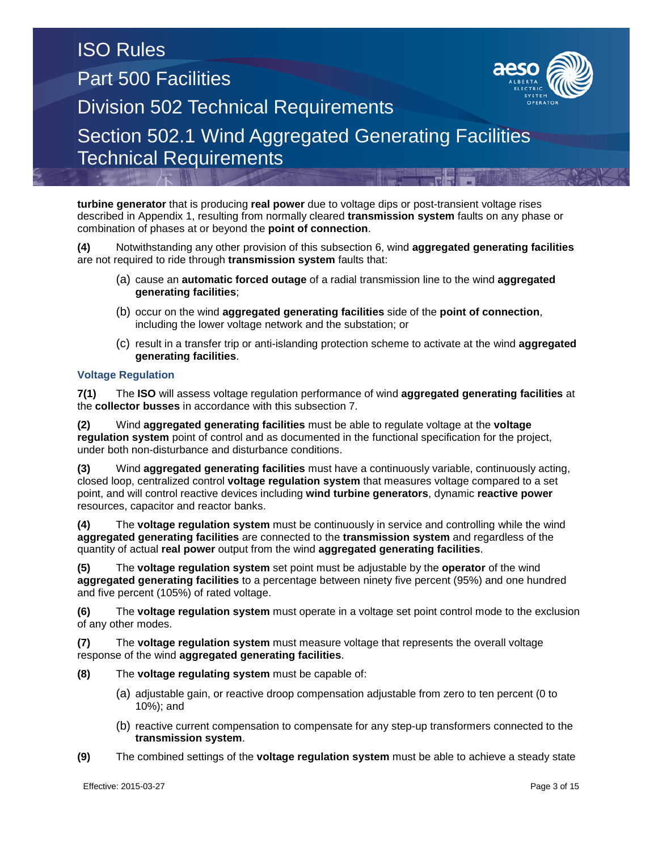**turbine generator** that is producing **real power** due to voltage dips or post-transient voltage rises described in Appendix 1, resulting from normally cleared **transmission system** faults on any phase or combination of phases at or beyond the **point of connection**.

**(4)** Notwithstanding any other provision of this subsection 6, wind **aggregated generating facilities** are not required to ride through **transmission system** faults that:

- (a) cause an **automatic forced outage** of a radial transmission line to the wind **aggregated generating facilities**;
- (b) occur on the wind **aggregated generating facilities** side of the **point of connection**, including the lower voltage network and the substation; or
- (c) result in a transfer trip or anti-islanding protection scheme to activate at the wind **aggregated generating facilities**.

### **Voltage Regulation**

**7(1)** The **ISO** will assess voltage regulation performance of wind **aggregated generating facilities** at the **collector busses** in accordance with this subsection 7.

**(2)** Wind **aggregated generating facilities** must be able to regulate voltage at the **voltage regulation system** point of control and as documented in the functional specification for the project, under both non-disturbance and disturbance conditions.

**(3)** Wind **aggregated generating facilities** must have a continuously variable, continuously acting, closed loop, centralized control **voltage regulation system** that measures voltage compared to a set point, and will control reactive devices including **wind turbine generators**, dynamic **reactive power**  resources, capacitor and reactor banks.

**(4)** The **voltage regulation system** must be continuously in service and controlling while the wind **aggregated generating facilities** are connected to the **transmission system** and regardless of the quantity of actual **real power** output from the wind **aggregated generating facilities**.

**(5)** The **voltage regulation system** set point must be adjustable by the **operator** of the wind **aggregated generating facilities** to a percentage between ninety five percent (95%) and one hundred and five percent (105%) of rated voltage.

**(6)** The **voltage regulation system** must operate in a voltage set point control mode to the exclusion of any other modes.

**(7)** The **voltage regulation system** must measure voltage that represents the overall voltage response of the wind **aggregated generating facilities**.

- **(8)** The **voltage regulating system** must be capable of:
	- (a) adjustable gain, or reactive droop compensation adjustable from zero to ten percent (0 to 10%); and
	- (b) reactive current compensation to compensate for any step-up transformers connected to the **transmission system**.
- **(9)** The combined settings of the **voltage regulation system** must be able to achieve a steady state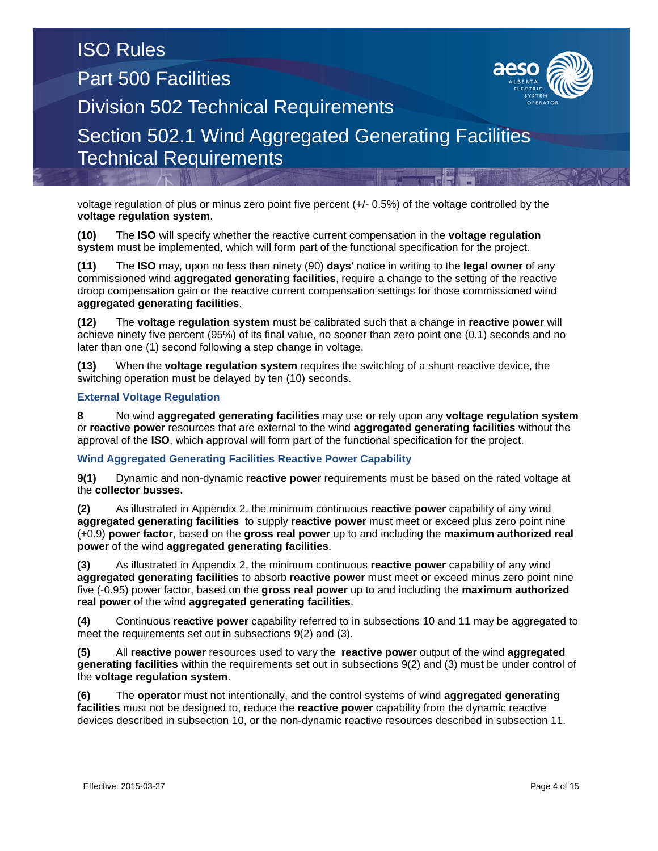voltage regulation of plus or minus zero point five percent (+/- 0.5%) of the voltage controlled by the **voltage regulation system**.

**(10)** The **ISO** will specify whether the reactive current compensation in the **voltage regulation system** must be implemented, which will form part of the functional specification for the project.

**(11)** The **ISO** may, upon no less than ninety (90) **days**' notice in writing to the **legal owner** of any commissioned wind **aggregated generating facilities**, require a change to the setting of the reactive droop compensation gain or the reactive current compensation settings for those commissioned wind **aggregated generating facilities**.

**(12)** The **voltage regulation system** must be calibrated such that a change in **reactive power** will achieve ninety five percent (95%) of its final value, no sooner than zero point one (0.1) seconds and no later than one (1) second following a step change in voltage.

**(13)** When the **voltage regulation system** requires the switching of a shunt reactive device, the switching operation must be delayed by ten (10) seconds.

### **External Voltage Regulation**

**8** No wind **aggregated generating facilities** may use or rely upon any **voltage regulation system** or **reactive power** resources that are external to the wind **aggregated generating facilities** without the approval of the **ISO**, which approval will form part of the functional specification for the project.

#### **Wind Aggregated Generating Facilities Reactive Power Capability**

**9(1)** Dynamic and non-dynamic **reactive power** requirements must be based on the rated voltage at the **collector busses**.

**(2)** As illustrated in Appendix 2, the minimum continuous **reactive power** capability of any wind **aggregated generating facilities** to supply **reactive power** must meet or exceed plus zero point nine (+0.9) **power factor**, based on the **gross real power** up to and including the **maximum authorized real power** of the wind **aggregated generating facilities**.

**(3)** As illustrated in Appendix 2, the minimum continuous **reactive power** capability of any wind **aggregated generating facilities** to absorb **reactive power** must meet or exceed minus zero point nine five (-0.95) power factor, based on the **gross real power** up to and including the **maximum authorized real power** of the wind **aggregated generating facilities**.

**(4)** Continuous **reactive power** capability referred to in subsections 10 and 11 may be aggregated to meet the requirements set out in subsections 9(2) and (3).

**(5)** All **reactive power** resources used to vary the **reactive power** output of the wind **aggregated generating facilities** within the requirements set out in subsections 9(2) and (3) must be under control of the **voltage regulation system**.

**(6)** The **operator** must not intentionally, and the control systems of wind **aggregated generating facilities** must not be designed to, reduce the **reactive power** capability from the dynamic reactive devices described in subsection 10, or the non-dynamic reactive resources described in subsection 11.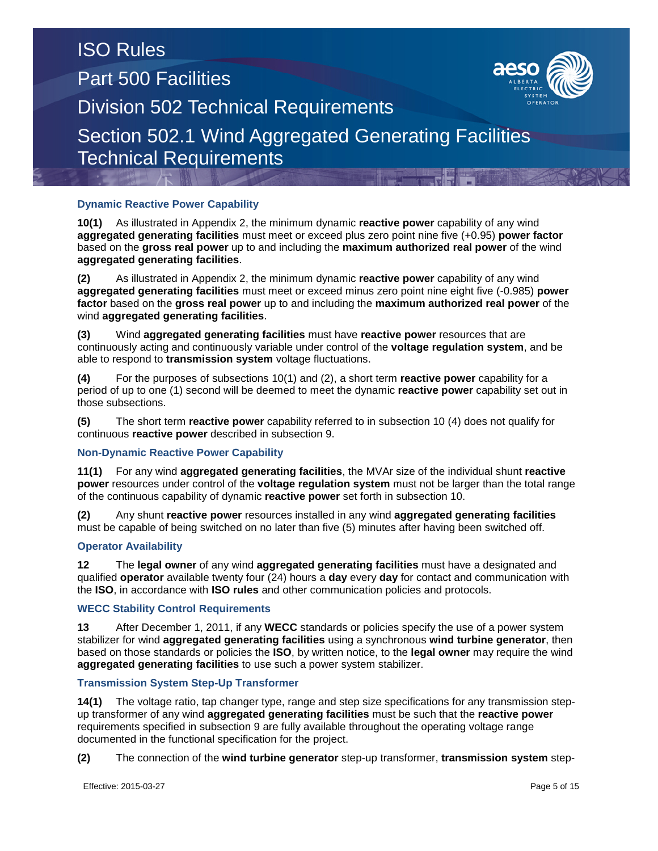## **Dynamic Reactive Power Capability**

**10(1)** As illustrated in Appendix 2, the minimum dynamic **reactive power** capability of any wind **aggregated generating facilities** must meet or exceed plus zero point nine five (+0.95) **power factor** based on the **gross real power** up to and including the **maximum authorized real power** of the wind **aggregated generating facilities**.

**(2)** As illustrated in Appendix 2, the minimum dynamic **reactive power** capability of any wind **aggregated generating facilities** must meet or exceed minus zero point nine eight five (-0.985) **power factor** based on the **gross real power** up to and including the **maximum authorized real power** of the wind **aggregated generating facilities**.

**(3)** Wind **aggregated generating facilities** must have **reactive power** resources that are continuously acting and continuously variable under control of the **voltage regulation system**, and be able to respond to **transmission system** voltage fluctuations.

**(4)** For the purposes of subsections 10(1) and (2), a short term **reactive power** capability for a period of up to one (1) second will be deemed to meet the dynamic **reactive power** capability set out in those subsections.

**(5)** The short term **reactive power** capability referred to in subsection 10 (4) does not qualify for continuous **reactive power** described in subsection 9.

### **Non-Dynamic Reactive Power Capability**

**11(1)** For any wind **aggregated generating facilities**, the MVAr size of the individual shunt **reactive power** resources under control of the **voltage regulation system** must not be larger than the total range of the continuous capability of dynamic **reactive power** set forth in subsection 10.

**(2)** Any shunt **reactive power** resources installed in any wind **aggregated generating facilities** must be capable of being switched on no later than five (5) minutes after having been switched off.

### **Operator Availability**

**12** The **legal owner** of any wind **aggregated generating facilities** must have a designated and qualified **operator** available twenty four (24) hours a **day** every **day** for contact and communication with the **ISO**, in accordance with **ISO rules** and other communication policies and protocols.

#### **WECC Stability Control Requirements**

**13** After December 1, 2011, if any **WECC** standards or policies specify the use of a power system stabilizer for wind **aggregated generating facilities** using a synchronous **wind turbine generator**, then based on those standards or policies the **ISO**, by written notice, to the **legal owner** may require the wind **aggregated generating facilities** to use such a power system stabilizer.

#### **Transmission System Step-Up Transformer**

**14(1)** The voltage ratio, tap changer type, range and step size specifications for any transmission stepup transformer of any wind **aggregated generating facilities** must be such that the **reactive power** requirements specified in subsection 9 are fully available throughout the operating voltage range documented in the functional specification for the project.

**(2)** The connection of the **wind turbine generator** step-up transformer, **transmission system** step-

Effective: 2015-03-27 Page 5 of 15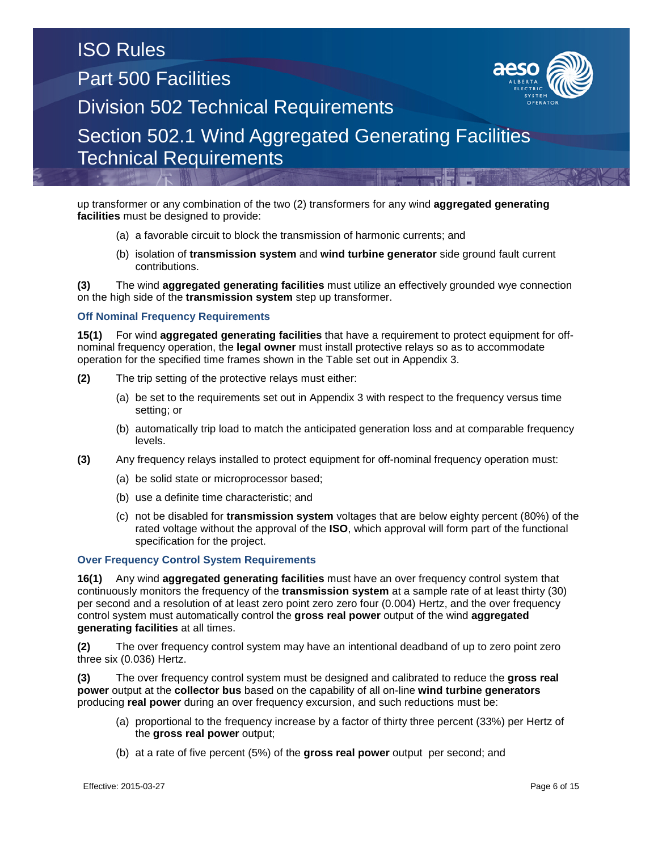up transformer or any combination of the two (2) transformers for any wind **aggregated generating facilities** must be designed to provide:

- (a) a favorable circuit to block the transmission of harmonic currents; and
- (b) isolation of **transmission system** and **wind turbine generator** side ground fault current contributions.

**(3)** The wind **aggregated generating facilities** must utilize an effectively grounded wye connection on the high side of the **transmission system** step up transformer.

### **Off Nominal Frequency Requirements**

**15(1)** For wind **aggregated generating facilities** that have a requirement to protect equipment for offnominal frequency operation, the **legal owner** must install protective relays so as to accommodate operation for the specified time frames shown in the Table set out in Appendix 3.

- **(2)** The trip setting of the protective relays must either:
	- (a) be set to the requirements set out in Appendix 3 with respect to the frequency versus time setting; or
	- (b) automatically trip load to match the anticipated generation loss and at comparable frequency levels.
- **(3)** Any frequency relays installed to protect equipment for off-nominal frequency operation must:
	- (a) be solid state or microprocessor based;
	- (b) use a definite time characteristic; and
	- (c) not be disabled for **transmission system** voltages that are below eighty percent (80%) of the rated voltage without the approval of the **ISO**, which approval will form part of the functional specification for the project.

### **Over Frequency Control System Requirements**

**16(1)** Any wind **aggregated generating facilities** must have an over frequency control system that continuously monitors the frequency of the **transmission system** at a sample rate of at least thirty (30) per second and a resolution of at least zero point zero zero four (0.004) Hertz, and the over frequency control system must automatically control the **gross real power** output of the wind **aggregated generating facilities** at all times.

**(2)** The over frequency control system may have an intentional deadband of up to zero point zero three six (0.036) Hertz.

**(3)** The over frequency control system must be designed and calibrated to reduce the **gross real power** output at the **collector bus** based on the capability of all on-line **wind turbine generators** producing **real power** during an over frequency excursion, and such reductions must be:

- (a) proportional to the frequency increase by a factor of thirty three percent (33%) per Hertz of the **gross real power** output;
- (b) at a rate of five percent (5%) of the **gross real power** output per second; and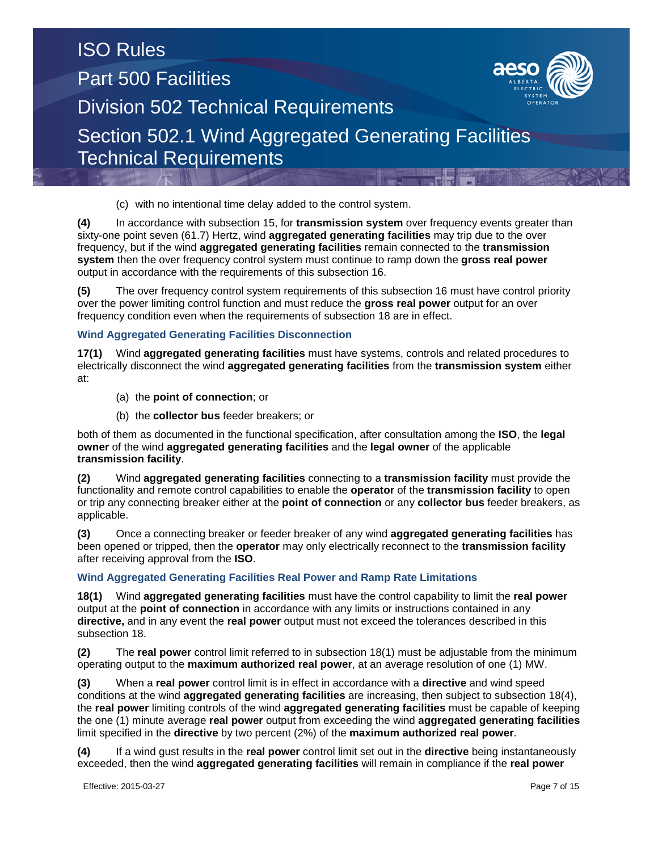(c) with no intentional time delay added to the control system.

**(4)** In accordance with subsection 15, for **transmission system** over frequency events greater than sixty-one point seven (61.7) Hertz, wind **aggregated generating facilities** may trip due to the over frequency, but if the wind **aggregated generating facilities** remain connected to the **transmission system** then the over frequency control system must continue to ramp down the **gross real power** output in accordance with the requirements of this subsection 16.

**(5)** The over frequency control system requirements of this subsection 16 must have control priority over the power limiting control function and must reduce the **gross real power** output for an over frequency condition even when the requirements of subsection 18 are in effect.

### **Wind Aggregated Generating Facilities Disconnection**

**17(1)** Wind **aggregated generating facilities** must have systems, controls and related procedures to electrically disconnect the wind **aggregated generating facilities** from the **transmission system** either at:

- (a) the **point of connection**; or
- (b) the **collector bus** feeder breakers; or

both of them as documented in the functional specification, after consultation among the **ISO**, the **legal owner** of the wind **aggregated generating facilities** and the **legal owner** of the applicable **transmission facility**.

**(2)** Wind **aggregated generating facilities** connecting to a **transmission facility** must provide the functionality and remote control capabilities to enable the **operator** of the **transmission facility** to open or trip any connecting breaker either at the **point of connection** or any **collector bus** feeder breakers, as applicable.

**(3)** Once a connecting breaker or feeder breaker of any wind **aggregated generating facilities** has been opened or tripped, then the **operator** may only electrically reconnect to the **transmission facility** after receiving approval from the **ISO**.

### **Wind Aggregated Generating Facilities Real Power and Ramp Rate Limitations**

**18(1)** Wind **aggregated generating facilities** must have the control capability to limit the **real power** output at the **point of connection** in accordance with any limits or instructions contained in any **directive,** and in any event the **real power** output must not exceed the tolerances described in this subsection 18.

**(2)** The **real power** control limit referred to in subsection 18(1) must be adjustable from the minimum operating output to the **maximum authorized real power**, at an average resolution of one (1) MW.

**(3)** When a **real power** control limit is in effect in accordance with a **directive** and wind speed conditions at the wind **aggregated generating facilities** are increasing, then subject to subsection 18(4), the **real power** limiting controls of the wind **aggregated generating facilities** must be capable of keeping the one (1) minute average **real power** output from exceeding the wind **aggregated generating facilities** limit specified in the **directive** by two percent (2%) of the **maximum authorized real power**.

**(4)** If a wind gust results in the **real power** control limit set out in the **directive** being instantaneously exceeded, then the wind **aggregated generating facilities** will remain in compliance if the **real power**

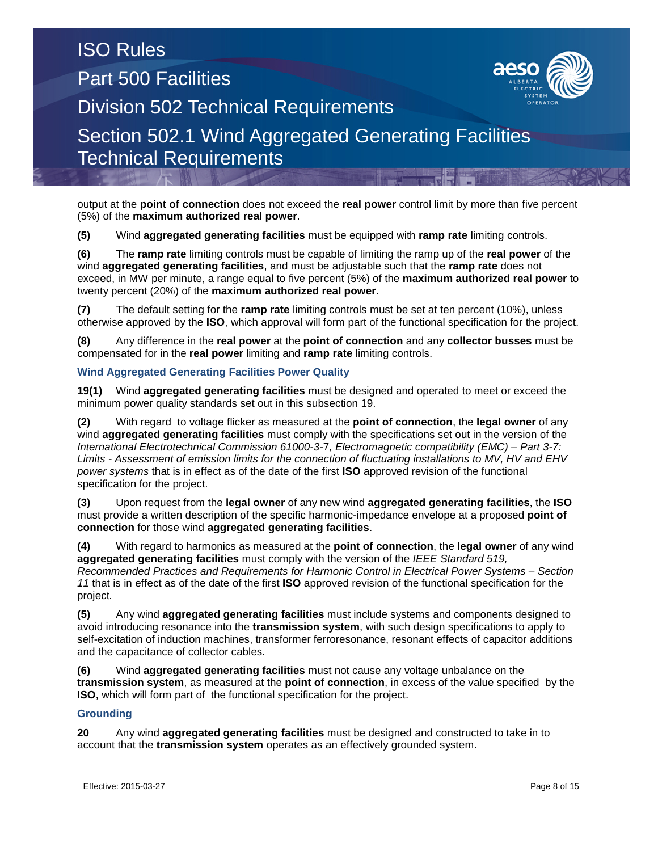output at the **point of connection** does not exceed the **real power** control limit by more than five percent (5%) of the **maximum authorized real power**.

**(5)** Wind **aggregated generating facilities** must be equipped with **ramp rate** limiting controls.

**(6)** The **ramp rate** limiting controls must be capable of limiting the ramp up of the **real power** of the wind **aggregated generating facilities**, and must be adjustable such that the **ramp rate** does not exceed, in MW per minute, a range equal to five percent (5%) of the **maximum authorized real power** to twenty percent (20%) of the **maximum authorized real power**.

**(7)** The default setting for the **ramp rate** limiting controls must be set at ten percent (10%), unless otherwise approved by the **ISO**, which approval will form part of the functional specification for the project.

**(8)** Any difference in the **real power** at the **point of connection** and any **collector busses** must be compensated for in the **real power** limiting and **ramp rate** limiting controls.

### **Wind Aggregated Generating Facilities Power Quality**

**19(1)** Wind **aggregated generating facilities** must be designed and operated to meet or exceed the minimum power quality standards set out in this subsection 19.

**(2)** With regard to voltage flicker as measured at the **point of connection**, the **legal owner** of any wind **aggregated generating facilities** must comply with the specifications set out in the version of the *International Electrotechnical Commission 61000-3-*7*, Electromagnetic compatibility (EMC) – Part 3-7: Limits - Assessment of emission limits for the connection of fluctuating installations to MV, HV and EHV power systems* that is in effect as of the date of the first **ISO** approved revision of the functional specification for the project.

**(3)** Upon request from the **legal owner** of any new wind **aggregated generating facilities**, the **ISO** must provide a written description of the specific harmonic-impedance envelope at a proposed **point of connection** for those wind **aggregated generating facilities**.

**(4)** With regard to harmonics as measured at the **point of connection**, the **legal owner** of any wind **aggregated generating facilities** must comply with the version of the *IEEE Standard 519, Recommended Practices and Requirements for Harmonic Control in Electrical Power Systems – Section 11* that is in effect as of the date of the first **ISO** approved revision of the functional specification for the project*.*

**(5)** Any wind **aggregated generating facilities** must include systems and components designed to avoid introducing resonance into the **transmission system**, with such design specifications to apply to self-excitation of induction machines, transformer ferroresonance, resonant effects of capacitor additions and the capacitance of collector cables.

**(6)** Wind **aggregated generating facilities** must not cause any voltage unbalance on the **transmission system**, as measured at the **point of connection**, in excess of the value specified by the **ISO**, which will form part of the functional specification for the project.

### **Grounding**

**20** Any wind **aggregated generating facilities** must be designed and constructed to take in to account that the **transmission system** operates as an effectively grounded system.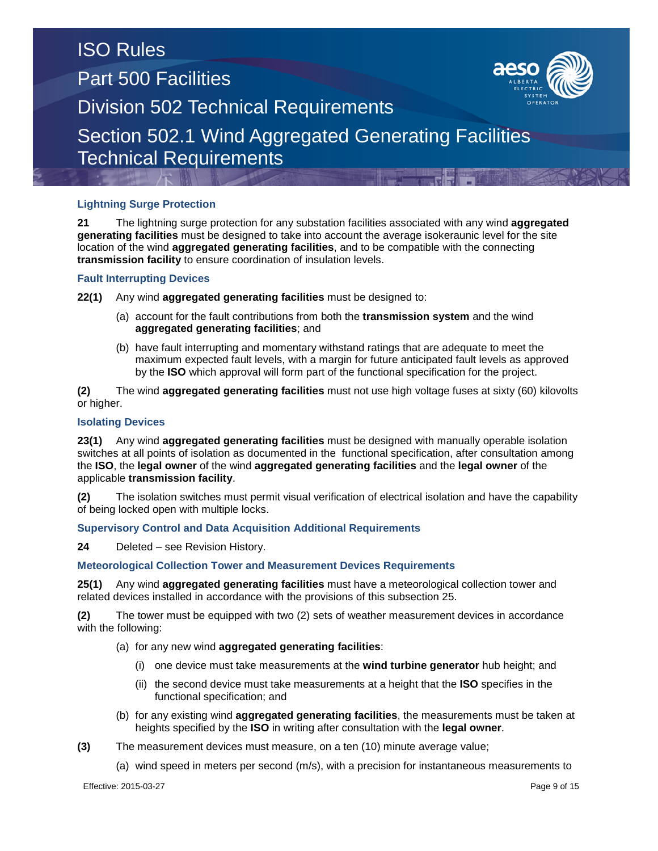## **Lightning Surge Protection**

**21** The lightning surge protection for any substation facilities associated with any wind **aggregated generating facilities** must be designed to take into account the average isokeraunic level for the site location of the wind **aggregated generating facilities**, and to be compatible with the connecting **transmission facility** to ensure coordination of insulation levels.

### **Fault Interrupting Devices**

**22(1)** Any wind **aggregated generating facilities** must be designed to:

- (a) account for the fault contributions from both the **transmission system** and the wind **aggregated generating facilities**; and
- (b) have fault interrupting and momentary withstand ratings that are adequate to meet the maximum expected fault levels, with a margin for future anticipated fault levels as approved by the **ISO** which approval will form part of the functional specification for the project.

**(2)** The wind **aggregated generating facilities** must not use high voltage fuses at sixty (60) kilovolts or higher.

### **Isolating Devices**

**23(1)** Any wind **aggregated generating facilities** must be designed with manually operable isolation switches at all points of isolation as documented in the functional specification, after consultation among the **ISO**, the **legal owner** of the wind **aggregated generating facilities** and the **legal owner** of the applicable **transmission facility**.

**(2)** The isolation switches must permit visual verification of electrical isolation and have the capability of being locked open with multiple locks.

### **Supervisory Control and Data Acquisition Additional Requirements**

**24** Deleted – see Revision History.

### **Meteorological Collection Tower and Measurement Devices Requirements**

**25(1)** Any wind **aggregated generating facilities** must have a meteorological collection tower and related devices installed in accordance with the provisions of this subsection 25.

**(2)** The tower must be equipped with two (2) sets of weather measurement devices in accordance with the following:

- (a) for any new wind **aggregated generating facilities**:
	- (i) one device must take measurements at the **wind turbine generator** hub height; and
	- (ii) the second device must take measurements at a height that the **ISO** specifies in the functional specification; and
- (b) for any existing wind **aggregated generating facilities**, the measurements must be taken at heights specified by the **ISO** in writing after consultation with the **legal owner**.
- **(3)** The measurement devices must measure, on a ten (10) minute average value;
	- (a) wind speed in meters per second (m/s), with a precision for instantaneous measurements to

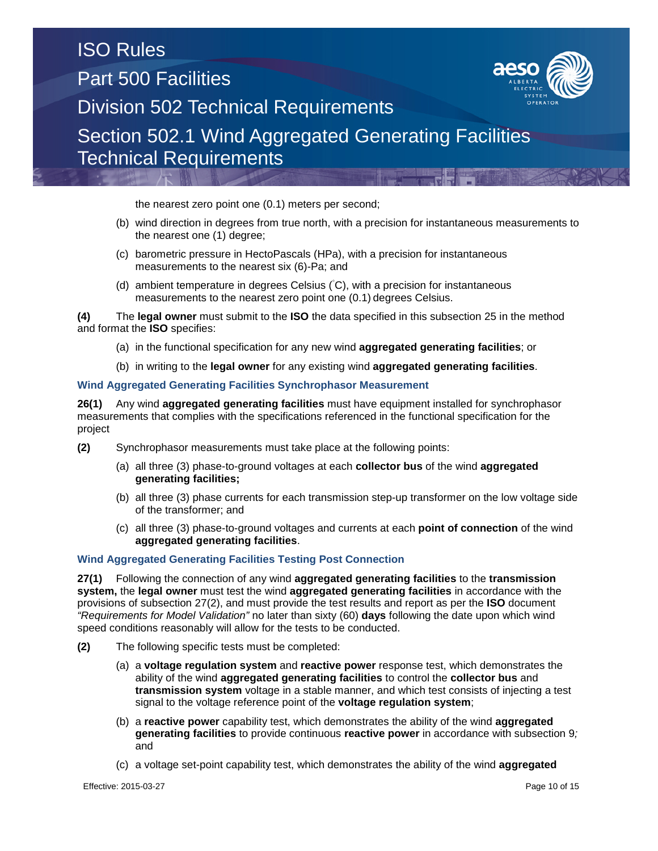the nearest zero point one (0.1) meters per second;

- (b) wind direction in degrees from true north, with a precision for instantaneous measurements to the nearest one (1) degree;
- (c) barometric pressure in HectoPascals (HPa), with a precision for instantaneous measurements to the nearest six (6)-Pa; and
- (d) ambient temperature in degrees Celsius ( C), with a precision for instantaneous measurements to the nearest zero point one (0.1) degrees Celsius.

**(4)** The **legal owner** must submit to the **ISO** the data specified in this subsection 25 in the method and format the **ISO** specifies:

- (a) in the functional specification for any new wind **aggregated generating facilities**; or
- (b) in writing to the **legal owner** for any existing wind **aggregated generating facilities**.

#### **Wind Aggregated Generating Facilities Synchrophasor Measurement**

**26(1)** Any wind **aggregated generating facilities** must have equipment installed for synchrophasor measurements that complies with the specifications referenced in the functional specification for the project

- **(2)** Synchrophasor measurements must take place at the following points:
	- (a) all three (3) phase-to-ground voltages at each **collector bus** of the wind **aggregated generating facilities;**
	- (b) all three (3) phase currents for each transmission step-up transformer on the low voltage side of the transformer; and
	- (c) all three (3) phase-to-ground voltages and currents at each **point of connection** of the wind **aggregated generating facilities**.

#### **Wind Aggregated Generating Facilities Testing Post Connection**

**27(1)** Following the connection of any wind **aggregated generating facilities** to the **transmission system,** the **legal owner** must test the wind **aggregated generating facilities** in accordance with the provisions of subsection 27(2), and must provide the test results and report as per the **ISO** document *"Requirements for Model Validation"* no later than sixty (60) **days** following the date upon which wind speed conditions reasonably will allow for the tests to be conducted.

- **(2)** The following specific tests must be completed:
	- (a) a **voltage regulation system** and **reactive power** response test, which demonstrates the ability of the wind **aggregated generating facilities** to control the **collector bus** and **transmission system** voltage in a stable manner, and which test consists of injecting a test signal to the voltage reference point of the **voltage regulation system**;
	- (b) a **reactive power** capability test, which demonstrates the ability of the wind **aggregated generating facilities** to provide continuous **reactive power** in accordance with subsection 9*;* and
	- (c) a voltage set-point capability test, which demonstrates the ability of the wind **aggregated**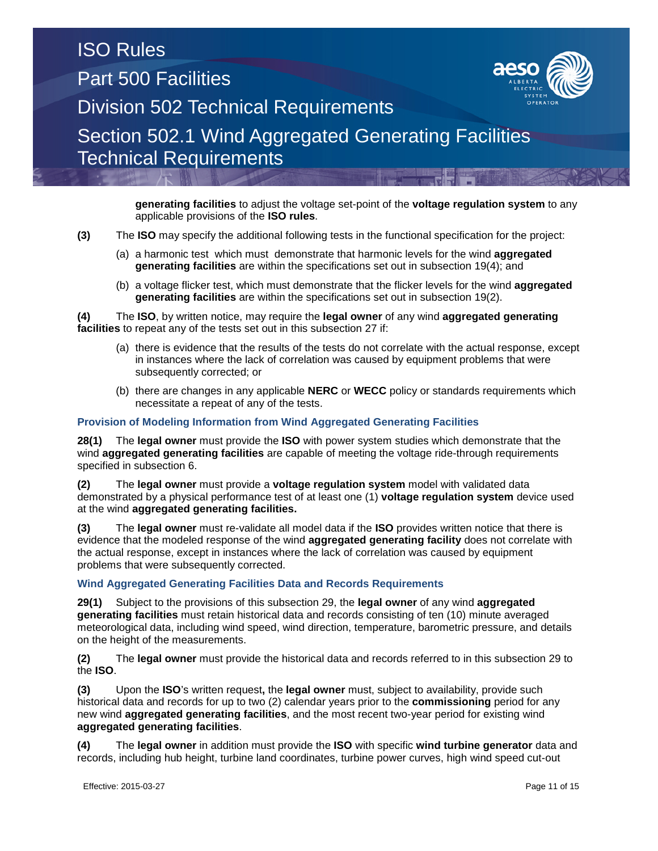**generating facilities** to adjust the voltage set-point of the **voltage regulation system** to any applicable provisions of the **ISO rules**.

**(3)** The **ISO** may specify the additional following tests in the functional specification for the project:

- (a) a harmonic test which must demonstrate that harmonic levels for the wind **aggregated generating facilities** are within the specifications set out in subsection 19(4); and
- (b) a voltage flicker test, which must demonstrate that the flicker levels for the wind **aggregated generating facilities** are within the specifications set out in subsection 19(2).

**(4)** The **ISO**, by written notice, may require the **legal owner** of any wind **aggregated generating facilities** to repeat any of the tests set out in this subsection 27 if:

- (a) there is evidence that the results of the tests do not correlate with the actual response, except in instances where the lack of correlation was caused by equipment problems that were subsequently corrected; or
- (b) there are changes in any applicable **NERC** or **WECC** policy or standards requirements which necessitate a repeat of any of the tests.

### **Provision of Modeling Information from Wind Aggregated Generating Facilities**

**28(1)** The **legal owner** must provide the **ISO** with power system studies which demonstrate that the wind **aggregated generating facilities** are capable of meeting the voltage ride-through requirements specified in subsection 6.

**(2)** The **legal owner** must provide a **voltage regulation system** model with validated data demonstrated by a physical performance test of at least one (1) **voltage regulation system** device used at the wind **aggregated generating facilities.**

**(3)** The **legal owner** must re-validate all model data if the **ISO** provides written notice that there is evidence that the modeled response of the wind **aggregated generating facility** does not correlate with the actual response, except in instances where the lack of correlation was caused by equipment problems that were subsequently corrected.

#### **Wind Aggregated Generating Facilities Data and Records Requirements**

**29(1)** Subject to the provisions of this subsection 29, the **legal owner** of any wind **aggregated generating facilities** must retain historical data and records consisting of ten (10) minute averaged meteorological data, including wind speed, wind direction, temperature, barometric pressure, and details on the height of the measurements.

**(2)** The **legal owner** must provide the historical data and records referred to in this subsection 29 to the **ISO**.

**(3)** Upon the **ISO**'s written request**,** the **legal owner** must, subject to availability, provide such historical data and records for up to two (2) calendar years prior to the **commissioning** period for any new wind **aggregated generating facilities**, and the most recent two-year period for existing wind **aggregated generating facilities**.

**(4)** The **legal owner** in addition must provide the **ISO** with specific **wind turbine generator** data and records, including hub height, turbine land coordinates, turbine power curves, high wind speed cut-out

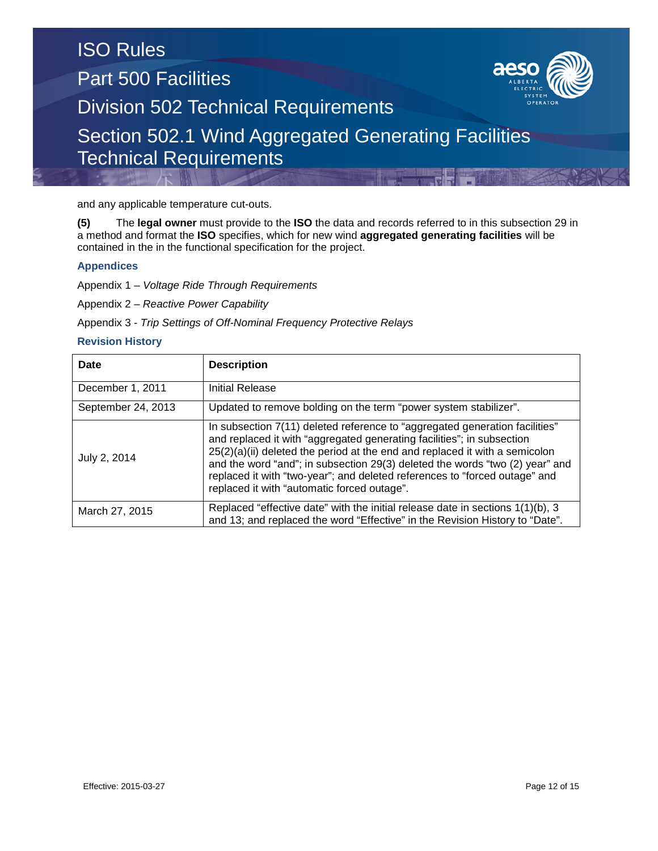and any applicable temperature cut-outs.

**(5)** The **legal owner** must provide to the **ISO** the data and records referred to in this subsection 29 in a method and format the **ISO** specifies, which for new wind **aggregated generating facilities** will be contained in the in the functional specification for the project.

### **Appendices**

Appendix 1 – *Voltage Ride Through Requirements*

Appendix 2 – *Reactive Power Capability*

Appendix 3 - *Trip Settings of Off-Nominal Frequency Protective Relays*

### **Revision History**

| Date               | <b>Description</b>                                                                                                                                                                                                                                                                                                                                                                                                                                |
|--------------------|---------------------------------------------------------------------------------------------------------------------------------------------------------------------------------------------------------------------------------------------------------------------------------------------------------------------------------------------------------------------------------------------------------------------------------------------------|
| December 1, 2011   | <b>Initial Release</b>                                                                                                                                                                                                                                                                                                                                                                                                                            |
| September 24, 2013 | Updated to remove bolding on the term "power system stabilizer".                                                                                                                                                                                                                                                                                                                                                                                  |
| July 2, 2014       | In subsection 7(11) deleted reference to "aggregated generation facilities"<br>and replaced it with "aggregated generating facilities"; in subsection<br>25(2)(a)(ii) deleted the period at the end and replaced it with a semicolon<br>and the word "and"; in subsection 29(3) deleted the words "two (2) year" and<br>replaced it with "two-year"; and deleted references to "forced outage" and<br>replaced it with "automatic forced outage". |
| March 27, 2015     | Replaced "effective date" with the initial release date in sections 1(1)(b), 3<br>and 13; and replaced the word "Effective" in the Revision History to "Date".                                                                                                                                                                                                                                                                                    |

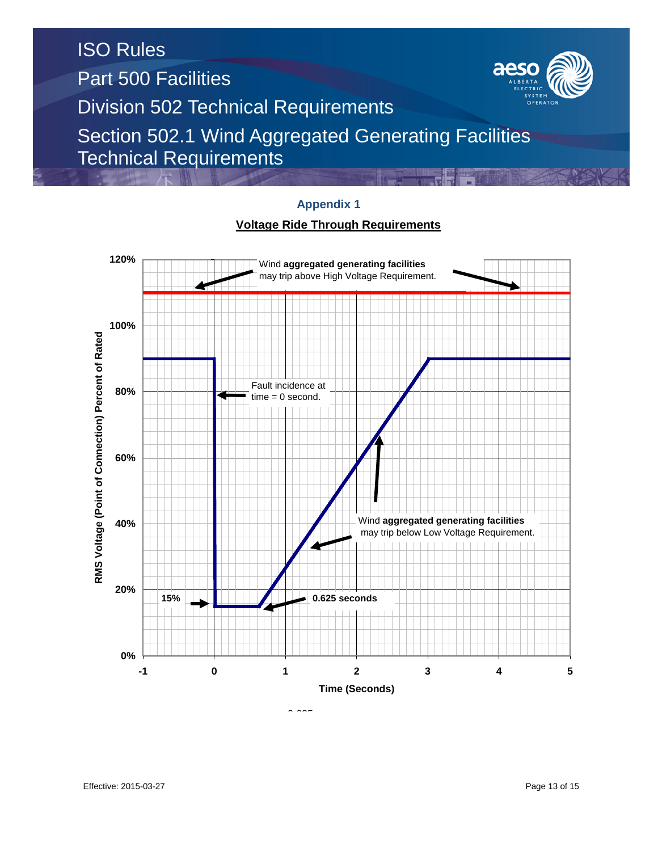

## **Appendix 1**

## **Voltage Ride Through Requirements**

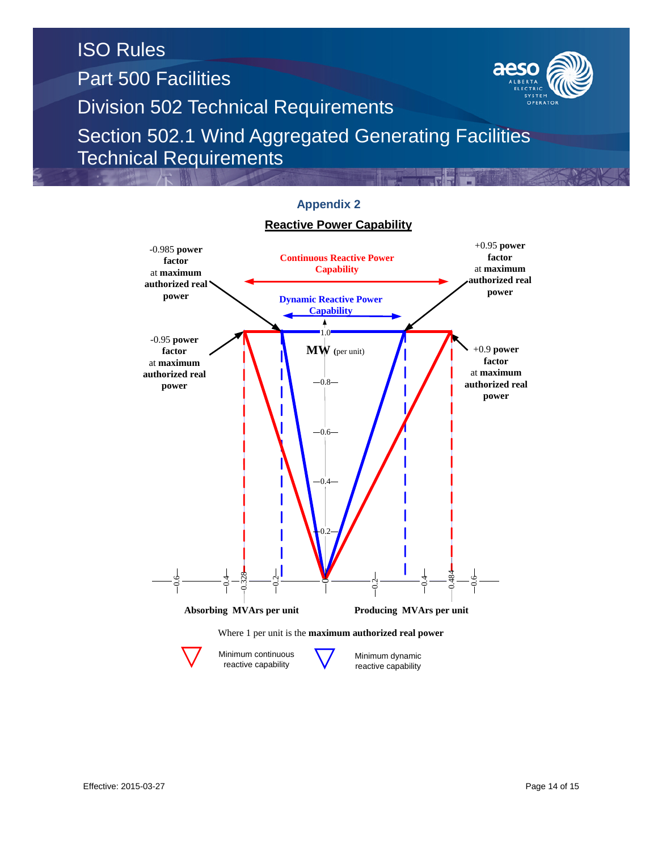



reactive capability

reactive capability

# **Appendix 2**